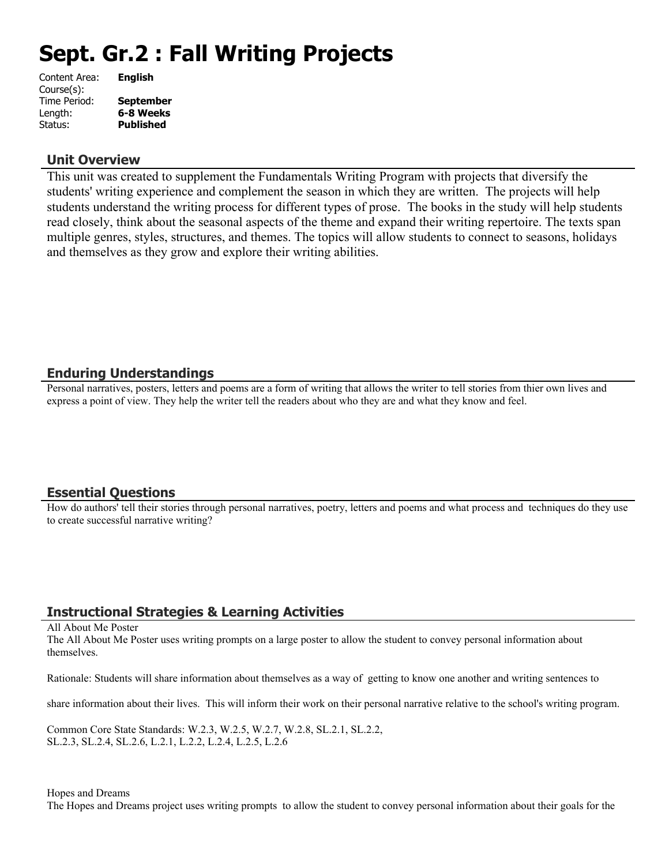# **Sept. Gr.2 : Fall Writing Projects**

| Content Area: | <b>English</b>   |
|---------------|------------------|
| Course(s):    |                  |
| Time Period:  | <b>September</b> |
| Length:       | 6-8 Weeks        |
| Status:       | <b>Published</b> |
|               |                  |

#### **Unit Overview**

This unit was created to supplement the Fundamentals Writing Program with projects that diversify the students' writing experience and complement the season in which they are written. The projects will help students understand the writing process for different types of prose. The books in the study will help students read closely, think about the seasonal aspects of the theme and expand their writing repertoire. The texts span multiple genres, styles, structures, and themes. The topics will allow students to connect to seasons, holidays and themselves as they grow and explore their writing abilities.

## **Enduring Understandings**

Personal narratives, posters, letters and poems are a form of writing that allows the writer to tell stories from thier own lives and express a point of view. They help the writer tell the readers about who they are and what they know and feel.

## **Essential Questions**

How do authors' tell their stories through personal narratives, poetry, letters and poems and what process and techniques do they use to create successful narrative writing?

## **Instructional Strategies & Learning Activities**

#### All About Me Poster

The All About Me Poster uses writing prompts on a large poster to allow the student to convey personal information about themselves.

Rationale: Students will share information about themselves as a way of getting to know one another and writing sentences to

share information about their lives. This will inform their work on their personal narrative relative to the school's writing program.

Common Core State Standards: W.2.3, W.2.5, W.2.7, W.2.8, SL.2.1, SL.2.2, SL.2.3, SL.2.4, SL.2.6, L.2.1, L.2.2, L.2.4, L.2.5, L.2.6

#### Hopes and Dreams

The Hopes and Dreams project uses writing prompts to allow the student to convey personal information about their goals for the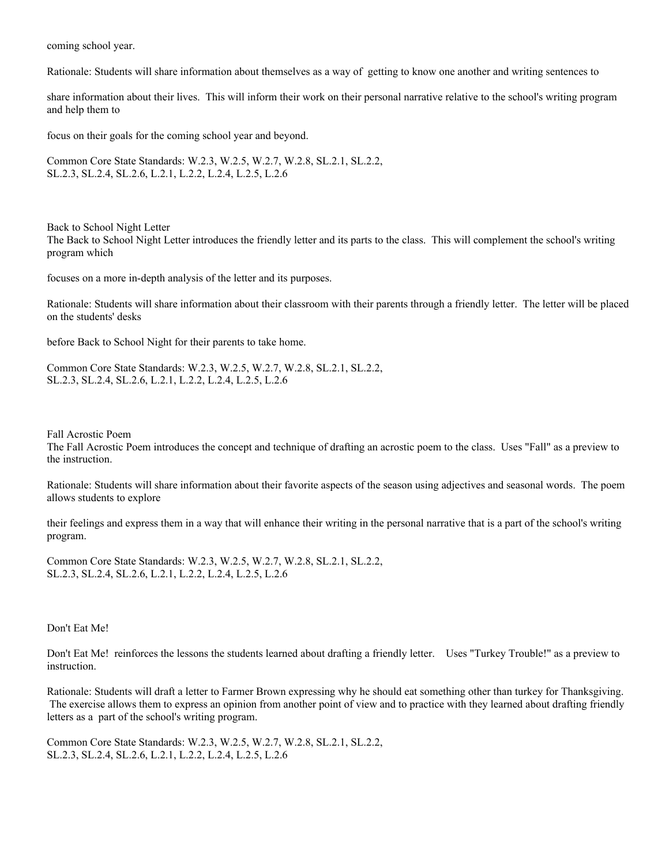coming school year.

Rationale: Students will share information about themselves as a way of getting to know one another and writing sentences to

share information about their lives. This will inform their work on their personal narrative relative to the school's writing program and help them to

focus on their goals for the coming school year and beyond.

Common Core State Standards: W.2.3, W.2.5, W.2.7, W.2.8, SL.2.1, SL.2.2, SL.2.3, SL.2.4, SL.2.6, L.2.1, L.2.2, L.2.4, L.2.5, L.2.6

Back to School Night Letter The Back to School Night Letter introduces the friendly letter and its parts to the class. This will complement the school's writing program which

focuses on a more in-depth analysis of the letter and its purposes.

Rationale: Students will share information about their classroom with their parents through a friendly letter. The letter will be placed on the students' desks

before Back to School Night for their parents to take home.

Common Core State Standards: W.2.3, W.2.5, W.2.7, W.2.8, SL.2.1, SL.2.2, SL.2.3, SL.2.4, SL.2.6, L.2.1, L.2.2, L.2.4, L.2.5, L.2.6

Fall Acrostic Poem

The Fall Acrostic Poem introduces the concept and technique of drafting an acrostic poem to the class. Uses "Fall" as a preview to the instruction.

Rationale: Students will share information about their favorite aspects of the season using adjectives and seasonal words. The poem allows students to explore

their feelings and express them in a way that will enhance their writing in the personal narrative that is a part of the school's writing program.

Common Core State Standards: W.2.3, W.2.5, W.2.7, W.2.8, SL.2.1, SL.2.2, SL.2.3, SL.2.4, SL.2.6, L.2.1, L.2.2, L.2.4, L.2.5, L.2.6

Don't Eat Me!

Don't Eat Me! reinforces the lessons the students learned about drafting a friendly letter. Uses "Turkey Trouble!" as a preview to instruction.

Rationale: Students will draft a letter to Farmer Brown expressing why he should eat something other than turkey for Thanksgiving. The exercise allows them to express an opinion from another point of view and to practice with they learned about drafting friendly letters as a part of the school's writing program.

Common Core State Standards: W.2.3, W.2.5, W.2.7, W.2.8, SL.2.1, SL.2.2, SL.2.3, SL.2.4, SL.2.6, L.2.1, L.2.2, L.2.4, L.2.5, L.2.6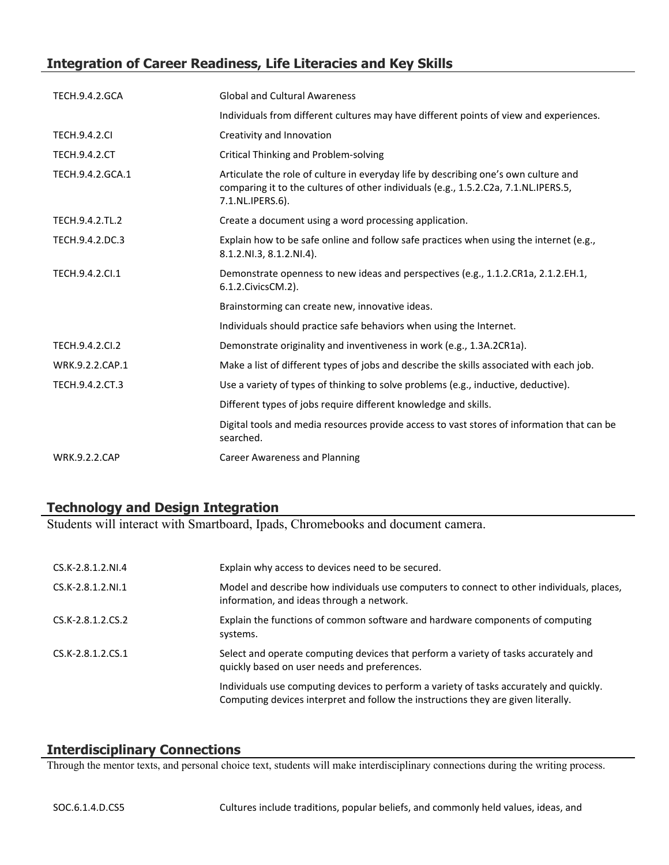# **Integration of Career Readiness, Life Literacies and Key Skills**

| <b>TECH.9.4.2.GCA</b> | <b>Global and Cultural Awareness</b>                                                                                                                                                           |
|-----------------------|------------------------------------------------------------------------------------------------------------------------------------------------------------------------------------------------|
|                       | Individuals from different cultures may have different points of view and experiences.                                                                                                         |
| <b>TECH.9.4.2.CI</b>  | Creativity and Innovation                                                                                                                                                                      |
| <b>TECH.9.4.2.CT</b>  | Critical Thinking and Problem-solving                                                                                                                                                          |
| TECH.9.4.2.GCA.1      | Articulate the role of culture in everyday life by describing one's own culture and<br>comparing it to the cultures of other individuals (e.g., 1.5.2.C2a, 7.1.NL.IPERS.5,<br>7.1.NL.IPERS.6). |
| TECH.9.4.2.TL.2       | Create a document using a word processing application.                                                                                                                                         |
| TECH.9.4.2.DC.3       | Explain how to be safe online and follow safe practices when using the internet (e.g.,<br>8.1.2.NI.3, 8.1.2.NI.4).                                                                             |
| TECH.9.4.2.CI.1       | Demonstrate openness to new ideas and perspectives (e.g., 1.1.2.CR1a, 2.1.2.EH.1,<br>6.1.2. Civics CM. 2).                                                                                     |
|                       | Brainstorming can create new, innovative ideas.                                                                                                                                                |
|                       | Individuals should practice safe behaviors when using the Internet.                                                                                                                            |
| TECH.9.4.2.CI.2       | Demonstrate originality and inventiveness in work (e.g., 1.3A.2CR1a).                                                                                                                          |
| WRK.9.2.2.CAP.1       | Make a list of different types of jobs and describe the skills associated with each job.                                                                                                       |
| TECH.9.4.2.CT.3       | Use a variety of types of thinking to solve problems (e.g., inductive, deductive).                                                                                                             |
|                       | Different types of jobs require different knowledge and skills.                                                                                                                                |
|                       | Digital tools and media resources provide access to vast stores of information that can be<br>searched.                                                                                        |
| <b>WRK.9.2.2.CAP</b>  | <b>Career Awareness and Planning</b>                                                                                                                                                           |

## **Technology and Design Integration**

Students will interact with Smartboard, Ipads, Chromebooks and document camera.

| CS.K-2.8.1.2.NI.4   | Explain why access to devices need to be secured.                                                                                                                            |
|---------------------|------------------------------------------------------------------------------------------------------------------------------------------------------------------------------|
| $CS.K-2.8.1.2.NI.1$ | Model and describe how individuals use computers to connect to other individuals, places,<br>information, and ideas through a network.                                       |
| CS.K-2.8.1.2.CS.2   | Explain the functions of common software and hardware components of computing<br>systems.                                                                                    |
| $CS.K-2.8.1.2.CS.1$ | Select and operate computing devices that perform a variety of tasks accurately and<br>quickly based on user needs and preferences.                                          |
|                     | Individuals use computing devices to perform a variety of tasks accurately and quickly.<br>Computing devices interpret and follow the instructions they are given literally. |

## **Interdisciplinary Connections**

Through the mentor texts, and personal choice text, students will make interdisciplinary connections during the writing process.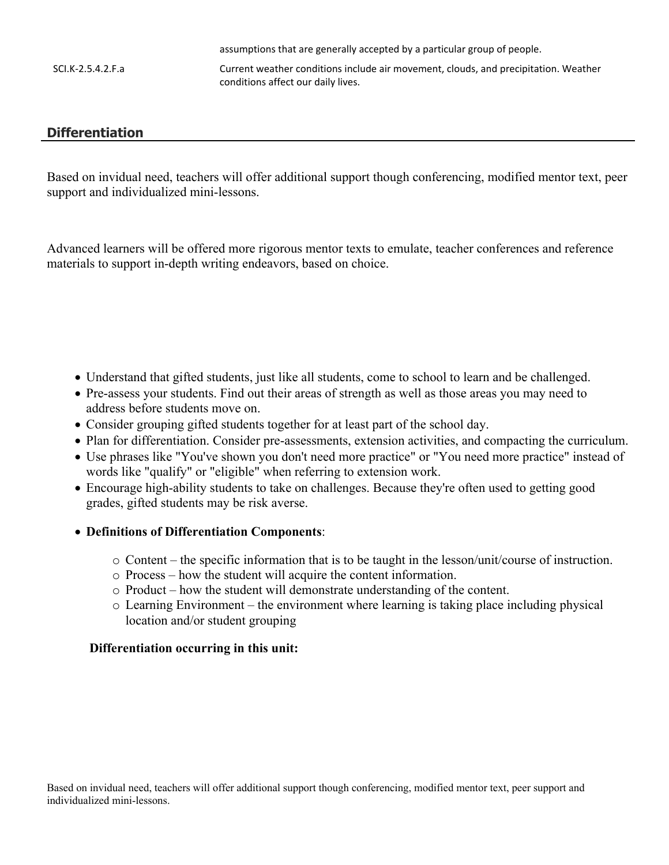assumptions that are generally accepted by a particular group of people. SCI.K-2.5.4.2.F.a Current weather conditions include air movement, clouds, and precipitation. Weather conditions affect our daily lives.

## **Differentiation**

Based on invidual need, teachers will offer additional support though conferencing, modified mentor text, peer support and individualized mini-lessons.

Advanced learners will be offered more rigorous mentor texts to emulate, teacher conferences and reference materials to support in-depth writing endeavors, based on choice.

- Understand that gifted students, just like all students, come to school to learn and be challenged.
- Pre-assess your students. Find out their areas of strength as well as those areas you may need to address before students move on.
- Consider grouping gifted students together for at least part of the school day.
- Plan for differentiation. Consider pre-assessments, extension activities, and compacting the curriculum.
- Use phrases like "You've shown you don't need more practice" or "You need more practice" instead of words like "qualify" or "eligible" when referring to extension work.
- Encourage high-ability students to take on challenges. Because they're often used to getting good grades, gifted students may be risk averse.

#### **Definitions of Differentiation Components**:

- o Content the specific information that is to be taught in the lesson/unit/course of instruction.
- o Process how the student will acquire the content information.
- o Product how the student will demonstrate understanding of the content.
- o Learning Environment the environment where learning is taking place including physical location and/or student grouping

#### **Differentiation occurring in this unit:**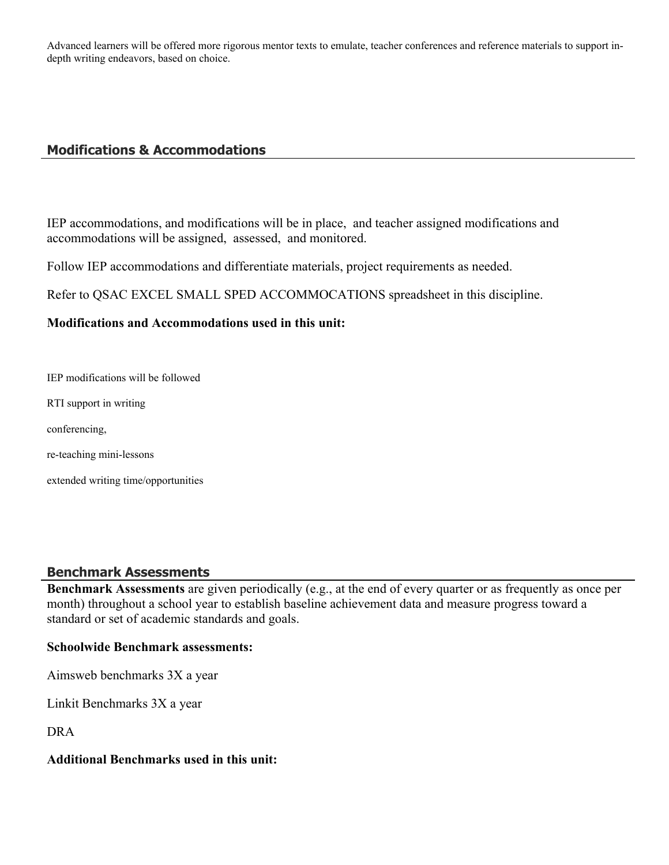Advanced learners will be offered more rigorous mentor texts to emulate, teacher conferences and reference materials to support indepth writing endeavors, based on choice.

## **Modifications & Accommodations**

IEP accommodations, and modifications will be in place, and teacher assigned modifications and accommodations will be assigned, assessed, and monitored.

Follow IEP accommodations and differentiate materials, project requirements as needed.

Refer to QSAC EXCEL SMALL SPED ACCOMMOCATIONS spreadsheet in this discipline.

#### **Modifications and Accommodations used in this unit:**

IEP modifications will be followed

RTI support in writing

conferencing,

re-teaching mini-lessons

extended writing time/opportunities

## **Benchmark Assessments**

**Benchmark Assessments** are given periodically (e.g., at the end of every quarter or as frequently as once per month) throughout a school year to establish baseline achievement data and measure progress toward a standard or set of academic standards and goals.

#### **Schoolwide Benchmark assessments:**

Aimsweb benchmarks 3X a year

Linkit Benchmarks 3X a year

DRA

#### **Additional Benchmarks used in this unit:**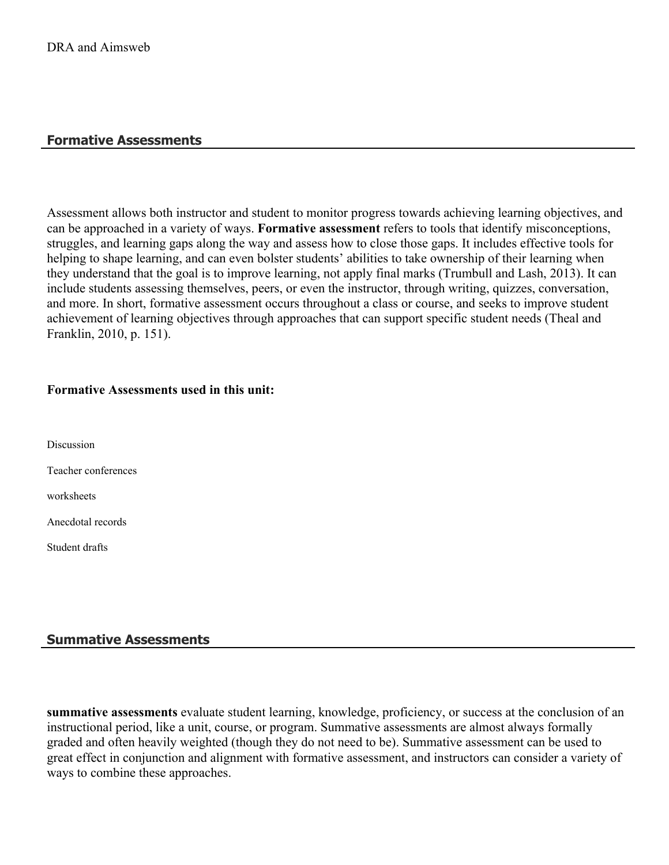## **Formative Assessments**

Assessment allows both instructor and student to monitor progress towards achieving learning objectives, and can be approached in a variety of ways. **Formative assessment** refers to tools that identify misconceptions, struggles, and learning gaps along the way and assess how to close those gaps. It includes effective tools for helping to shape learning, and can even bolster students' abilities to take ownership of their learning when they understand that the goal is to improve learning, not apply final marks (Trumbull and Lash, 2013). It can include students assessing themselves, peers, or even the instructor, through writing, quizzes, conversation, and more. In short, formative assessment occurs throughout a class or course, and seeks to improve student achievement of learning objectives through approaches that can support specific student needs (Theal and Franklin, 2010, p. 151).

#### **Formative Assessments used in this unit:**

**Discussion** 

Teacher conferences

worksheets

Anecdotal records

Student drafts

#### **Summative Assessments**

**summative assessments** evaluate student learning, knowledge, proficiency, or success at the conclusion of an instructional period, like a unit, course, or program. Summative assessments are almost always formally graded and often heavily weighted (though they do not need to be). Summative assessment can be used to great effect in conjunction and alignment with formative assessment, and instructors can consider a variety of ways to combine these approaches.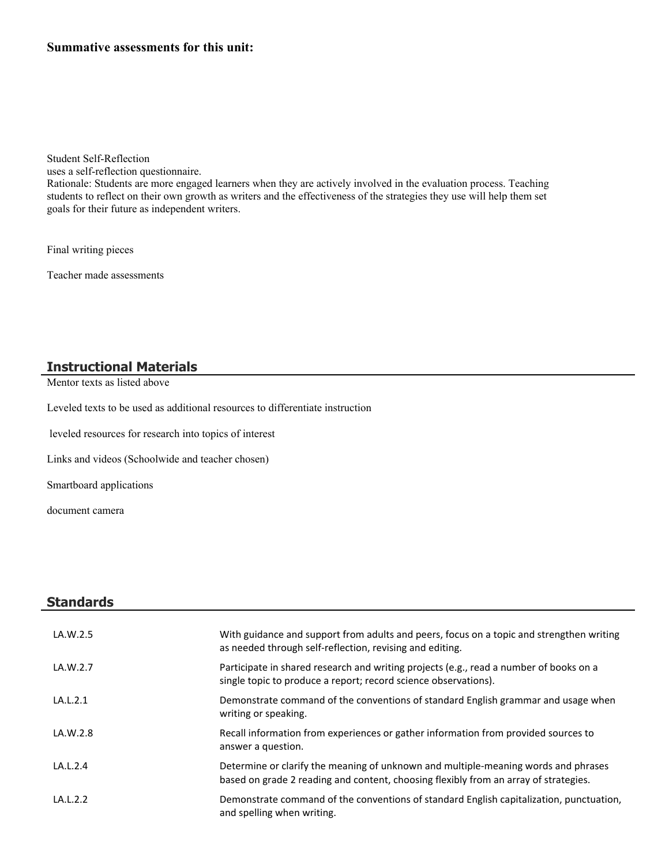Student Self-Reflection

uses a self-reflection questionnaire.

Rationale: Students are more engaged learners when they are actively involved in the evaluation process. Teaching students to reflect on their own growth as writers and the effectiveness of the strategies they use will help them set goals for their future as independent writers.

Final writing pieces

Teacher made assessments

## **Instructional Materials**

Mentor texts as listed above

Leveled texts to be used as additional resources to differentiate instruction

leveled resources for research into topics of interest

Links and videos (Schoolwide and teacher chosen)

Smartboard applications

document camera

| <b>Standards</b> |                                                                                                                                                           |
|------------------|-----------------------------------------------------------------------------------------------------------------------------------------------------------|
| LA.W.2.5         | With guidance and support from adults and peers, focus on a topic and strengthen writing<br>as needed through self-reflection, revising and editing.      |
| LA.W.2.7         | Participate in shared research and writing projects (e.g., read a number of books on a<br>single topic to produce a report; record science observations). |
| LA.L.2.1         | Demonstrate command of the conventions of standard English grammar and usage when<br>writing or speaking.                                                 |
| LA.W.2.8         | Recall information from experiences or gather information from provided sources to<br>answer a question.                                                  |

| LA.L.2.4 | Determine or clarify the meaning of unknown and multiple-meaning words and phrases   |
|----------|--------------------------------------------------------------------------------------|
|          | based on grade 2 reading and content, choosing flexibly from an array of strategies. |

LA.L.2.2 **Demonstrate command of the conventions of standard English capitalization, punctuation,** and spelling when writing.